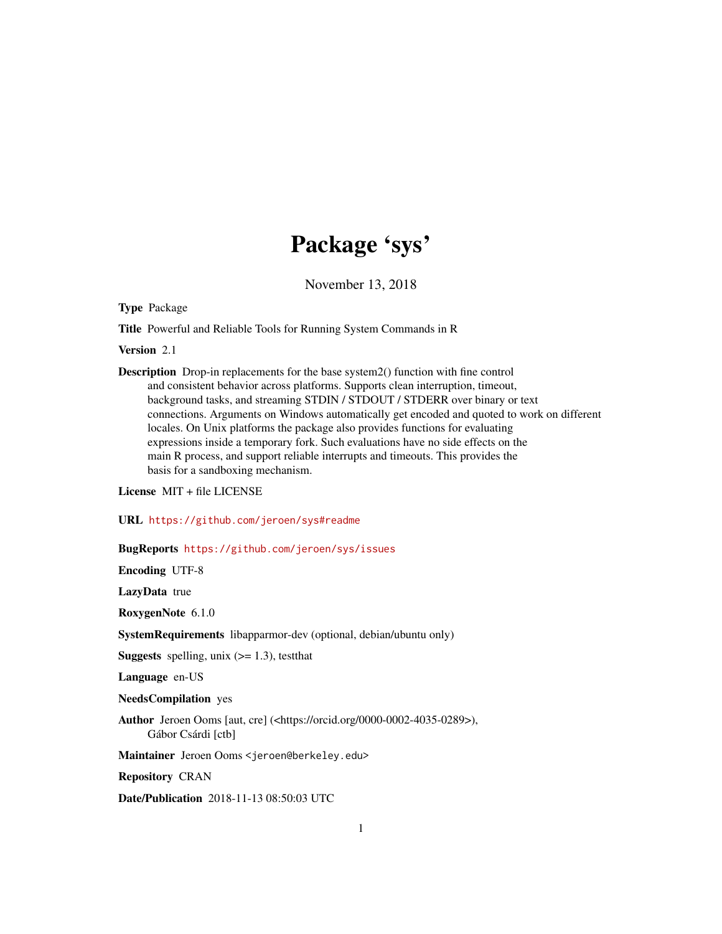## Package 'sys'

November 13, 2018

<span id="page-0-0"></span>Type Package

Title Powerful and Reliable Tools for Running System Commands in R

Version 2.1

Description Drop-in replacements for the base system2() function with fine control and consistent behavior across platforms. Supports clean interruption, timeout, background tasks, and streaming STDIN / STDOUT / STDERR over binary or text connections. Arguments on Windows automatically get encoded and quoted to work on different locales. On Unix platforms the package also provides functions for evaluating expressions inside a temporary fork. Such evaluations have no side effects on the main R process, and support reliable interrupts and timeouts. This provides the basis for a sandboxing mechanism.

License MIT + file LICENSE

URL <https://github.com/jeroen/sys#readme>

BugReports <https://github.com/jeroen/sys/issues>

Encoding UTF-8

LazyData true

RoxygenNote 6.1.0

SystemRequirements libapparmor-dev (optional, debian/ubuntu only)

**Suggests** spelling, unix  $(>= 1.3)$ , testthat

Language en-US

NeedsCompilation yes

Author Jeroen Ooms [aut, cre] (<https://orcid.org/0000-0002-4035-0289>), Gábor Csárdi [ctb]

Maintainer Jeroen Ooms <jeroen@berkeley.edu>

Repository CRAN

Date/Publication 2018-11-13 08:50:03 UTC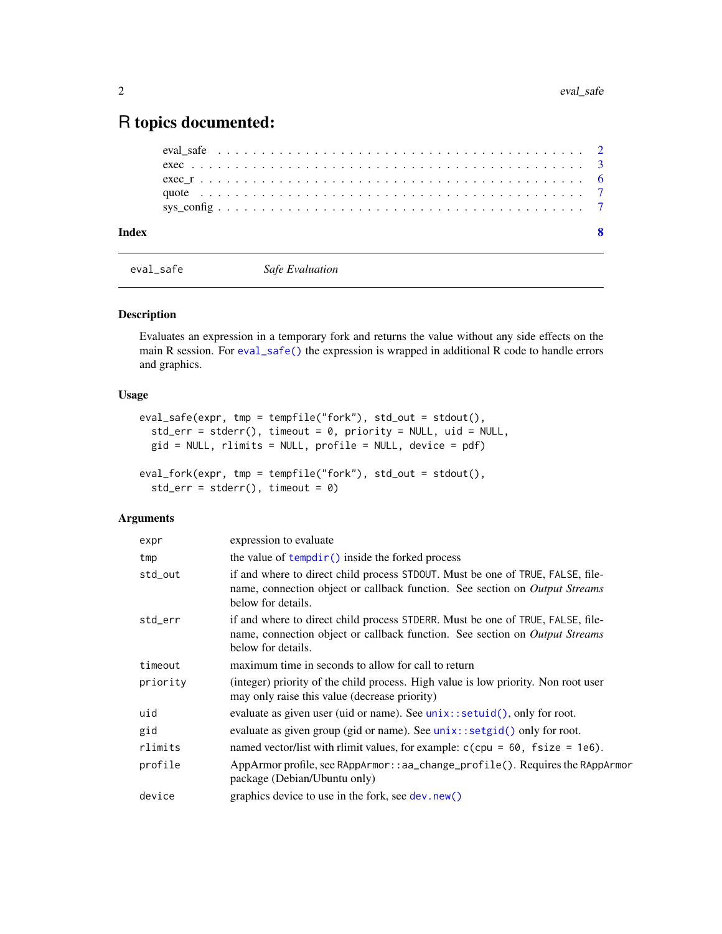### <span id="page-1-0"></span>R topics documented:

| Index |  |  |  |  |  |  |  |  |  |  |  |  |  |  |  |  |  |  |  |
|-------|--|--|--|--|--|--|--|--|--|--|--|--|--|--|--|--|--|--|--|
|       |  |  |  |  |  |  |  |  |  |  |  |  |  |  |  |  |  |  |  |
|       |  |  |  |  |  |  |  |  |  |  |  |  |  |  |  |  |  |  |  |
|       |  |  |  |  |  |  |  |  |  |  |  |  |  |  |  |  |  |  |  |
|       |  |  |  |  |  |  |  |  |  |  |  |  |  |  |  |  |  |  |  |
|       |  |  |  |  |  |  |  |  |  |  |  |  |  |  |  |  |  |  |  |

<span id="page-1-1"></span>

eval\_safe *Safe Evaluation*

#### Description

Evaluates an expression in a temporary fork and returns the value without any side effects on the main R session. For [eval\\_safe\(\)](#page-1-1) the expression is wrapped in additional R code to handle errors and graphics.

#### Usage

```
eval_safe(expr, tmp = tempfile("fork"), std_out = stdout(),
  std_error = stderr(), timeout = 0, priority = NULL, uid = NULL,
  gid = NULL, rlimits = NULL, profile = NULL, device = pdf)
eval_fork(expr, tmp = tempfile("fork"), std_out = stdout(),
  std_error = stderr(), timeout = 0)
```
#### Arguments

| expr     | expression to evaluate                                                                                                                                                              |
|----------|-------------------------------------------------------------------------------------------------------------------------------------------------------------------------------------|
| tmp      | the value of tempdir() inside the forked process                                                                                                                                    |
| std_out  | if and where to direct child process STDOUT. Must be one of TRUE, FALSE, file-<br>name, connection object or callback function. See section on Output Streams<br>below for details. |
| std_err  | if and where to direct child process STDERR. Must be one of TRUE, FALSE, file-<br>name, connection object or callback function. See section on Output Streams<br>below for details. |
| timeout  | maximum time in seconds to allow for call to return                                                                                                                                 |
| priority | (integer) priority of the child process. High value is low priority. Non root user<br>may only raise this value (decrease priority)                                                 |
| uid      | evaluate as given user (uid or name). See unix::setuid(), only for root.                                                                                                            |
| gid      | evaluate as given group (gid or name). See $unix$ : $setgid()$ only for root.                                                                                                       |
| rlimits  | named vector/list with rlimit values, for example: $c$ (cpu = 60, fsize = 1e6).                                                                                                     |
| profile  | AppArmor profile, see RAppArmor::aa_change_profile(). Requires the RAppArmor<br>package (Debian/Ubuntu only)                                                                        |
| device   | graphics device to use in the fork, see dev.new()                                                                                                                                   |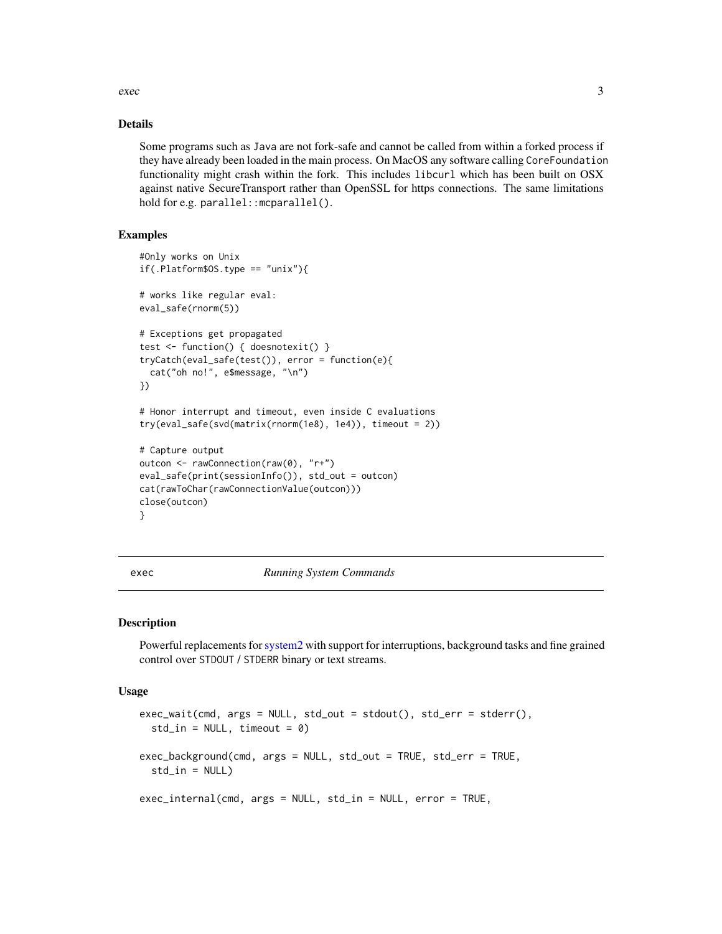<span id="page-2-0"></span> $e^{\lambda}$  and  $\lambda$  3

#### Details

Some programs such as Java are not fork-safe and cannot be called from within a forked process if they have already been loaded in the main process. On MacOS any software calling CoreFoundation functionality might crash within the fork. This includes libcurl which has been built on OSX against native SecureTransport rather than OpenSSL for https connections. The same limitations hold for e.g. parallel:: mcparallel().

#### Examples

```
#Only works on Unix
if(.Platform$0S.type == "unix")# works like regular eval:
eval_safe(rnorm(5))
# Exceptions get propagated
test <- function() { doesnotexit() }
tryCatch(eval_safe(test()), error = function(e){
  cat("oh no!", e$message, "\n")
})
# Honor interrupt and timeout, even inside C evaluations
try(eval_safe(svd(matrix(rnorm(1e8), 1e4)), timeout = 2))
# Capture output
outcon <- rawConnection(raw(0), "r+")
eval_safe(print(sessionInfo()), std_out = outcon)
cat(rawToChar(rawConnectionValue(outcon)))
close(outcon)
}
```
<span id="page-2-2"></span>exec *Running System Commands*

#### <span id="page-2-1"></span>Description

Powerful replacements for[system2](#page-0-0) with support for interruptions, background tasks and fine grained control over STDOUT / STDERR binary or text streams.

#### Usage

```
exec_wait(cmd, args = NULL, std_out = stdout(), std_err = stderr(),
  std_in = NULL, timeout = 0)exec_background(cmd, args = NULL, std_out = TRUE, std_err = TRUE,
  std_in = NULL)exec_internal(cmd, args = NULL, std_in = NULL, error = TRUE,
```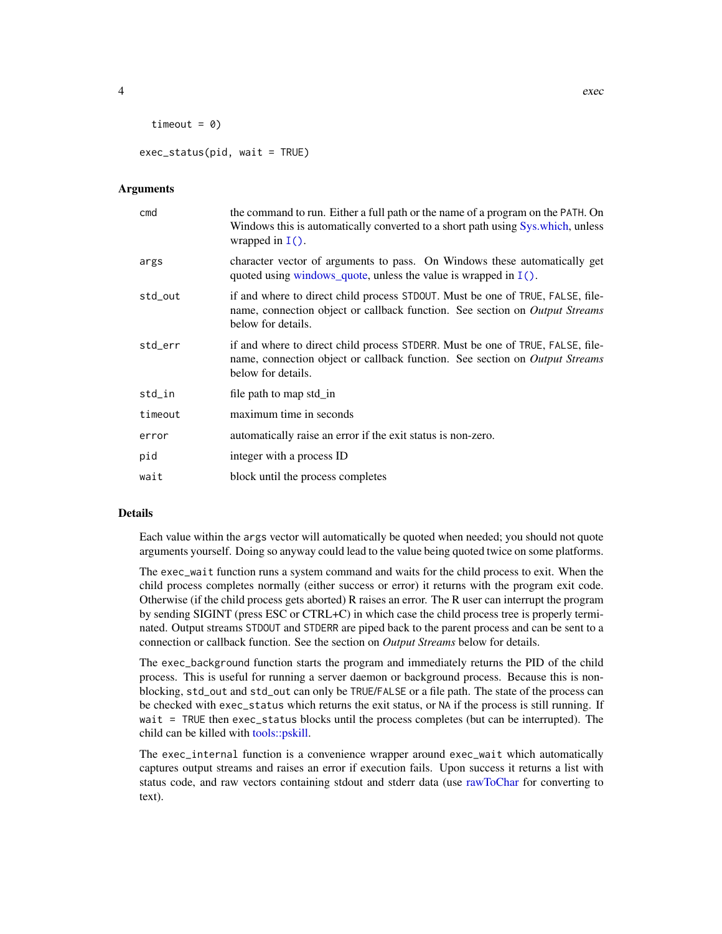```
timeout = 0)
```
 $exec\_status(pid, wait = TRUE)$ 

#### Arguments

| cmd     | the command to run. Either a full path or the name of a program on the PATH. On<br>Windows this is automatically converted to a short path using Sys.which, unless<br>wrapped in $I()$ .   |
|---------|--------------------------------------------------------------------------------------------------------------------------------------------------------------------------------------------|
| args    | character vector of arguments to pass. On Windows these automatically get<br>quoted using windows_quote, unless the value is wrapped in $I(.)$ .                                           |
| std_out | if and where to direct child process STDOUT. Must be one of TRUE, FALSE, file-<br>name, connection object or callback function. See section on <i>Output Streams</i><br>below for details. |
| std_err | if and where to direct child process STDERR. Must be one of TRUE, FALSE, file-<br>name, connection object or callback function. See section on <i>Output Streams</i><br>below for details. |
| std_in  | file path to map std_in                                                                                                                                                                    |
| timeout | maximum time in seconds                                                                                                                                                                    |
| error   | automatically raise an error if the exit status is non-zero.                                                                                                                               |
| pid     | integer with a process ID                                                                                                                                                                  |
| wait    | block until the process completes                                                                                                                                                          |

#### Details

Each value within the args vector will automatically be quoted when needed; you should not quote arguments yourself. Doing so anyway could lead to the value being quoted twice on some platforms.

The exec\_wait function runs a system command and waits for the child process to exit. When the child process completes normally (either success or error) it returns with the program exit code. Otherwise (if the child process gets aborted) R raises an error. The R user can interrupt the program by sending SIGINT (press ESC or CTRL+C) in which case the child process tree is properly terminated. Output streams STDOUT and STDERR are piped back to the parent process and can be sent to a connection or callback function. See the section on *Output Streams* below for details.

The exec\_background function starts the program and immediately returns the PID of the child process. This is useful for running a server daemon or background process. Because this is nonblocking, std\_out and std\_out can only be TRUE/FALSE or a file path. The state of the process can be checked with exec\_status which returns the exit status, or NA if the process is still running. If wait = TRUE then exec\_status blocks until the process completes (but can be interrupted). The child can be killed with [tools::pskill.](#page-0-0)

The exec\_internal function is a convenience wrapper around exec\_wait which automatically captures output streams and raises an error if execution fails. Upon success it returns a list with status code, and raw vectors containing stdout and stderr data (use [rawToChar](#page-0-0) for converting to text).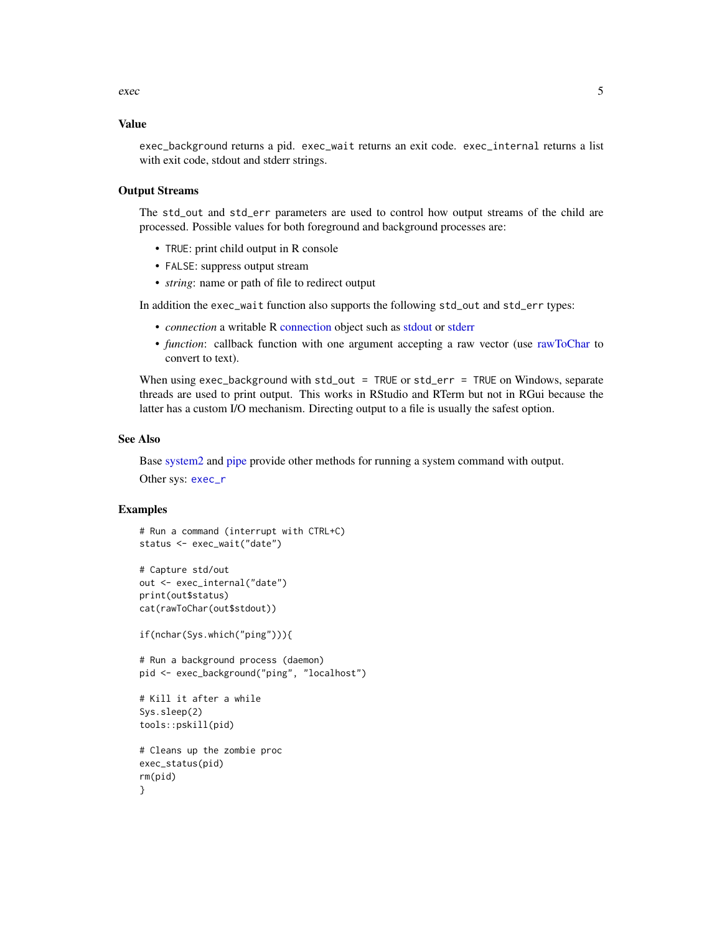<span id="page-4-0"></span>exec 5

#### Value

exec\_background returns a pid. exec\_wait returns an exit code. exec\_internal returns a list with exit code, stdout and stderr strings.

#### Output Streams

The std\_out and std\_err parameters are used to control how output streams of the child are processed. Possible values for both foreground and background processes are:

- TRUE: print child output in R console
- FALSE: suppress output stream
- *string*: name or path of file to redirect output

In addition the exec\_wait function also supports the following std\_out and std\_err types:

- *connection* a writable R [connection](#page-0-0) object such as [stdout](#page-0-0) or [stderr](#page-0-0)
- *function*: callback function with one argument accepting a raw vector (use [rawToChar](#page-0-0) to convert to text).

When using exec\_background with std\_out = TRUE or std\_err = TRUE on Windows, separate threads are used to print output. This works in RStudio and RTerm but not in RGui because the latter has a custom I/O mechanism. Directing output to a file is usually the safest option.

#### See Also

Base [system2](#page-0-0) and [pipe](#page-0-0) provide other methods for running a system command with output.

Other sys: [exec\\_r](#page-5-1)

#### Examples

```
# Run a command (interrupt with CTRL+C)
status <- exec_wait("date")
```

```
# Capture std/out
out <- exec_internal("date")
print(out$status)
cat(rawToChar(out$stdout))
```

```
if(nchar(Sys.which("ping"))){
```

```
# Run a background process (daemon)
pid <- exec_background("ping", "localhost")
```

```
# Kill it after a while
Sys.sleep(2)
tools::pskill(pid)
```

```
# Cleans up the zombie proc
exec_status(pid)
rm(pid)
}
```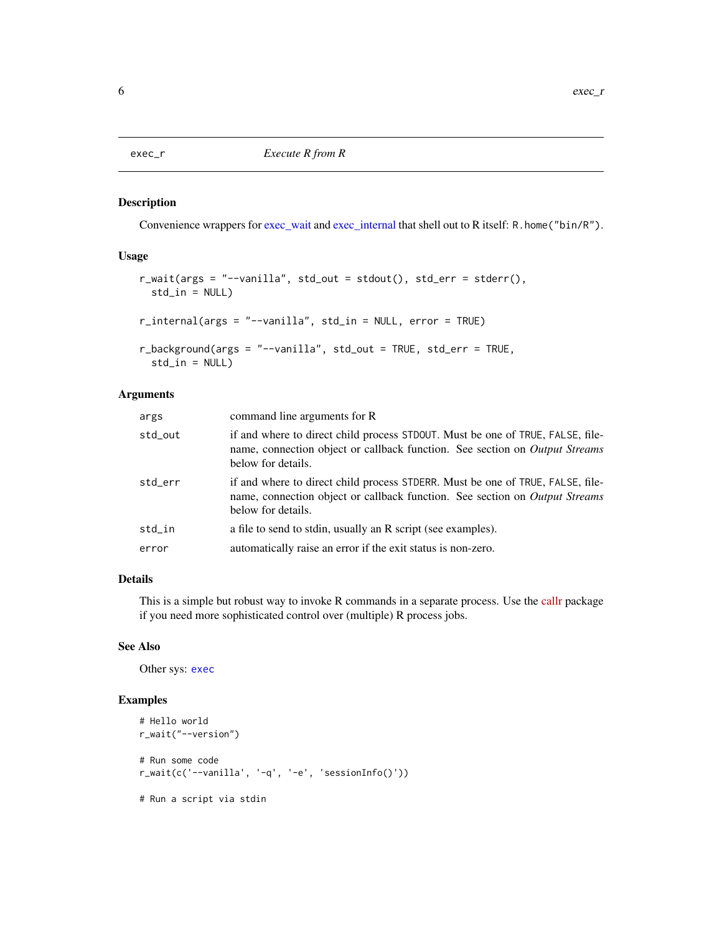<span id="page-5-1"></span><span id="page-5-0"></span>

#### Description

Convenience wrappers for [exec\\_wait](#page-2-1) and [exec\\_internal](#page-2-1) that shell out to R itself: R.home("bin/R").

#### Usage

```
r_wait(args = "--vanilla", std_out = stdout(), std_err = stderr(),
  std_in = NULL)r_internal(args = "--vanilla", std_in = NULL, error = TRUE)
r_background(args = "--vanilla", std_out = TRUE, std_err = TRUE,
 std_in = NULL)
```
#### Arguments

| args    | command line arguments for R                                                                                                                                                               |
|---------|--------------------------------------------------------------------------------------------------------------------------------------------------------------------------------------------|
| std_out | if and where to direct child process STDOUT. Must be one of TRUE, FALSE, file-<br>name, connection object or callback function. See section on <i>Output Streams</i><br>below for details. |
| std_err | if and where to direct child process STDERR. Must be one of TRUE, FALSE, file-<br>name, connection object or callback function. See section on <i>Output Streams</i><br>below for details. |
| std_in  | a file to send to stdin, usually an R script (see examples).                                                                                                                               |
| error   | automatically raise an error if the exit status is non-zero.                                                                                                                               |
|         |                                                                                                                                                                                            |

#### Details

This is a simple but robust way to invoke R commands in a separate process. Use the [callr](https://cran.r-project.org/package=callr) package if you need more sophisticated control over (multiple) R process jobs.

#### See Also

Other sys: [exec](#page-2-2)

#### Examples

```
# Hello world
r_wait("--version")
# Run some code
r_wait(c('--vanilla', '-q', '-e', 'sessionInfo()'))
# Run a script via stdin
```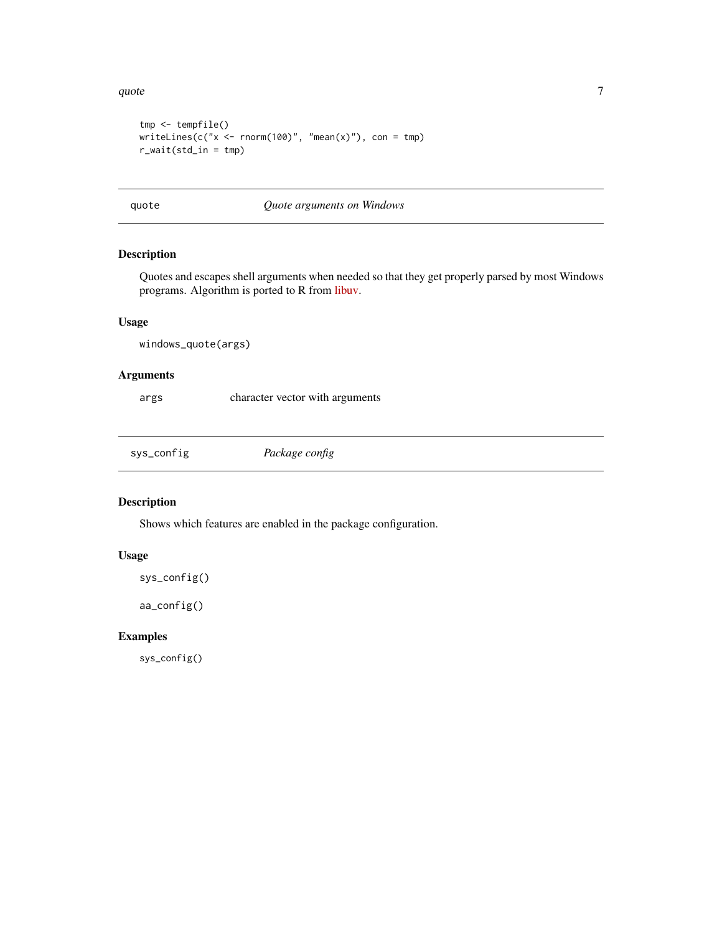#### <span id="page-6-0"></span>quote  $\sim$  7

```
tmp <- tempfile()
writeLines(c("x < -rnorm(100)", "mean(x)"), con = tmp)r_wait(std_in = tmp)
```
#### quote *Quote arguments on Windows*

#### <span id="page-6-1"></span>Description

Quotes and escapes shell arguments when needed so that they get properly parsed by most Windows programs. Algorithm is ported to R from [libuv.](https://github.com/libuv/libuv/blob/v1.23.0/src/win/process.c#L454-L524)

#### Usage

windows\_quote(args)

#### Arguments

args character vector with arguments

sys\_config *Package config*

#### Description

Shows which features are enabled in the package configuration.

#### Usage

sys\_config()

aa\_config()

#### Examples

sys\_config()